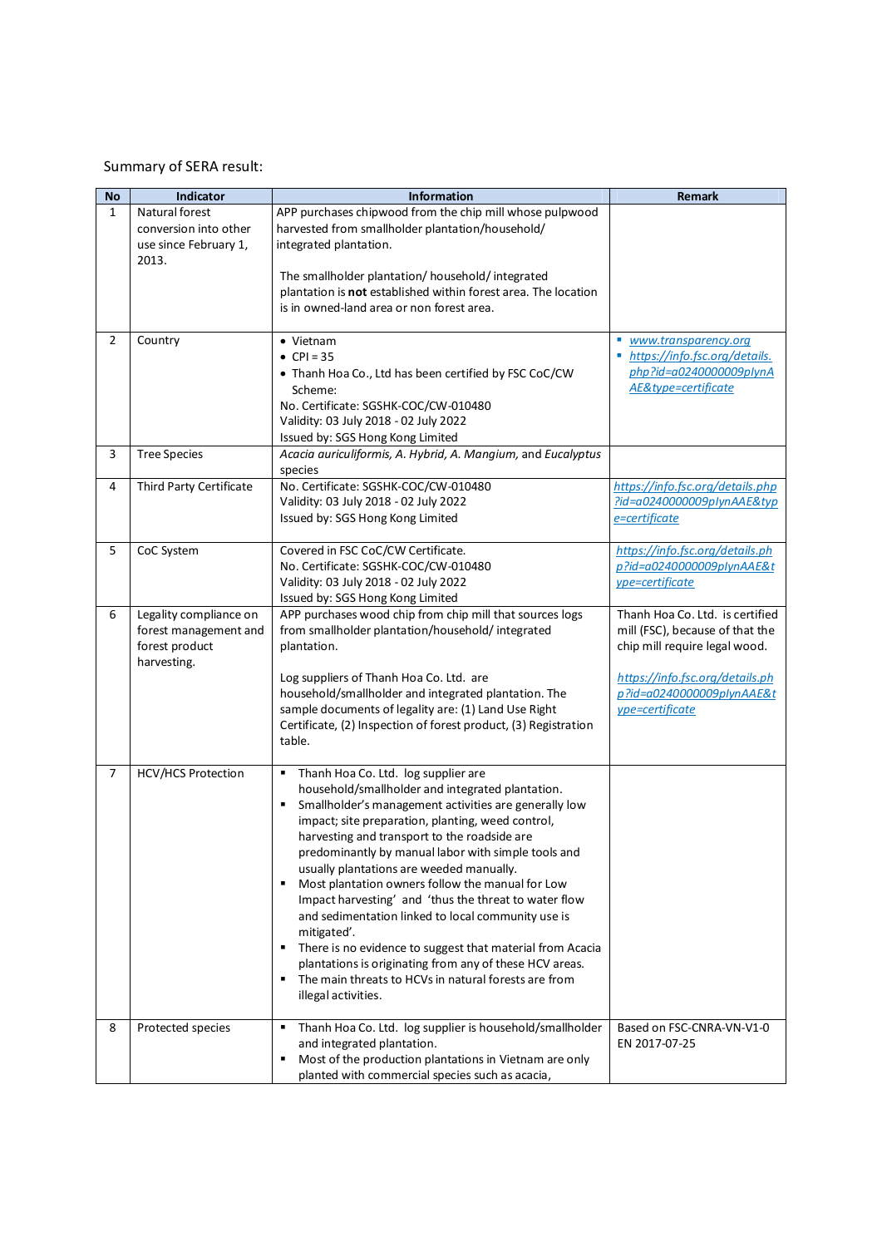## Summary of SERA result:

| <b>No</b>    | Indicator                                                                        | <b>Information</b>                                                                                                                                                                                                                                                                                                                                                                                                                                                                                                                                                                                                                                                                                                                                                    | Remark                                                                                                                                                                                 |
|--------------|----------------------------------------------------------------------------------|-----------------------------------------------------------------------------------------------------------------------------------------------------------------------------------------------------------------------------------------------------------------------------------------------------------------------------------------------------------------------------------------------------------------------------------------------------------------------------------------------------------------------------------------------------------------------------------------------------------------------------------------------------------------------------------------------------------------------------------------------------------------------|----------------------------------------------------------------------------------------------------------------------------------------------------------------------------------------|
| $\mathbf{1}$ | Natural forest<br>conversion into other<br>use since February 1,<br>2013.        | APP purchases chipwood from the chip mill whose pulpwood<br>harvested from smallholder plantation/household/<br>integrated plantation.                                                                                                                                                                                                                                                                                                                                                                                                                                                                                                                                                                                                                                |                                                                                                                                                                                        |
|              |                                                                                  | The smallholder plantation/household/integrated<br>plantation is not established within forest area. The location<br>is in owned-land area or non forest area.                                                                                                                                                                                                                                                                                                                                                                                                                                                                                                                                                                                                        |                                                                                                                                                                                        |
| 2            | Country                                                                          | • Vietnam<br>• $CPI = 35$<br>• Thanh Hoa Co., Ltd has been certified by FSC CoC/CW<br>Scheme:<br>No. Certificate: SGSHK-COC/CW-010480<br>Validity: 03 July 2018 - 02 July 2022<br>Issued by: SGS Hong Kong Limited                                                                                                                                                                                                                                                                                                                                                                                                                                                                                                                                                    | www.transparency.org<br>https://info.fsc.org/details.<br>php?id=a0240000009plynA<br>AE&type=certificate                                                                                |
| 3            | <b>Tree Species</b>                                                              | Acacia auriculiformis, A. Hybrid, A. Mangium, and Eucalyptus<br>species                                                                                                                                                                                                                                                                                                                                                                                                                                                                                                                                                                                                                                                                                               |                                                                                                                                                                                        |
| 4            | Third Party Certificate                                                          | No. Certificate: SGSHK-COC/CW-010480<br>Validity: 03 July 2018 - 02 July 2022<br>Issued by: SGS Hong Kong Limited                                                                                                                                                                                                                                                                                                                                                                                                                                                                                                                                                                                                                                                     | https://info.fsc.org/details.php<br>?id=a0240000009plynAAE&typ<br>e=certificate                                                                                                        |
| 5            | CoC System                                                                       | Covered in FSC CoC/CW Certificate.<br>No. Certificate: SGSHK-COC/CW-010480<br>Validity: 03 July 2018 - 02 July 2022<br>Issued by: SGS Hong Kong Limited                                                                                                                                                                                                                                                                                                                                                                                                                                                                                                                                                                                                               | https://info.fsc.org/details.ph<br>$p$ ?id=a0240000009plynAAE&t<br>ype=certificate                                                                                                     |
| 6            | Legality compliance on<br>forest management and<br>forest product<br>harvesting. | APP purchases wood chip from chip mill that sources logs<br>from smallholder plantation/household/integrated<br>plantation.<br>Log suppliers of Thanh Hoa Co. Ltd. are<br>household/smallholder and integrated plantation. The<br>sample documents of legality are: (1) Land Use Right<br>Certificate, (2) Inspection of forest product, (3) Registration<br>table.                                                                                                                                                                                                                                                                                                                                                                                                   | Thanh Hoa Co. Ltd. is certified<br>mill (FSC), because of that the<br>chip mill require legal wood.<br>https://info.fsc.org/details.ph<br>p?id=a0240000009plynAAE&t<br>ype=certificate |
| 7            | HCV/HCS Protection                                                               | Thanh Hoa Co. Ltd. log supplier are<br>٠<br>household/smallholder and integrated plantation.<br>Smallholder's management activities are generally low<br>٠<br>impact; site preparation, planting, weed control,<br>harvesting and transport to the roadside are<br>predominantly by manual labor with simple tools and<br>usually plantations are weeded manually.<br>Most plantation owners follow the manual for Low<br>٠<br>Impact harvesting' and 'thus the threat to water flow<br>and sedimentation linked to local community use is<br>mitigated'.<br>There is no evidence to suggest that material from Acacia<br>plantations is originating from any of these HCV areas.<br>The main threats to HCVs in natural forests are from<br>٠<br>illegal activities. |                                                                                                                                                                                        |
| 8            | Protected species                                                                | Thanh Hoa Co. Ltd. log supplier is household/smallholder<br>٠<br>and integrated plantation.<br>Most of the production plantations in Vietnam are only<br>٠<br>planted with commercial species such as acacia,                                                                                                                                                                                                                                                                                                                                                                                                                                                                                                                                                         | Based on FSC-CNRA-VN-V1-0<br>EN 2017-07-25                                                                                                                                             |